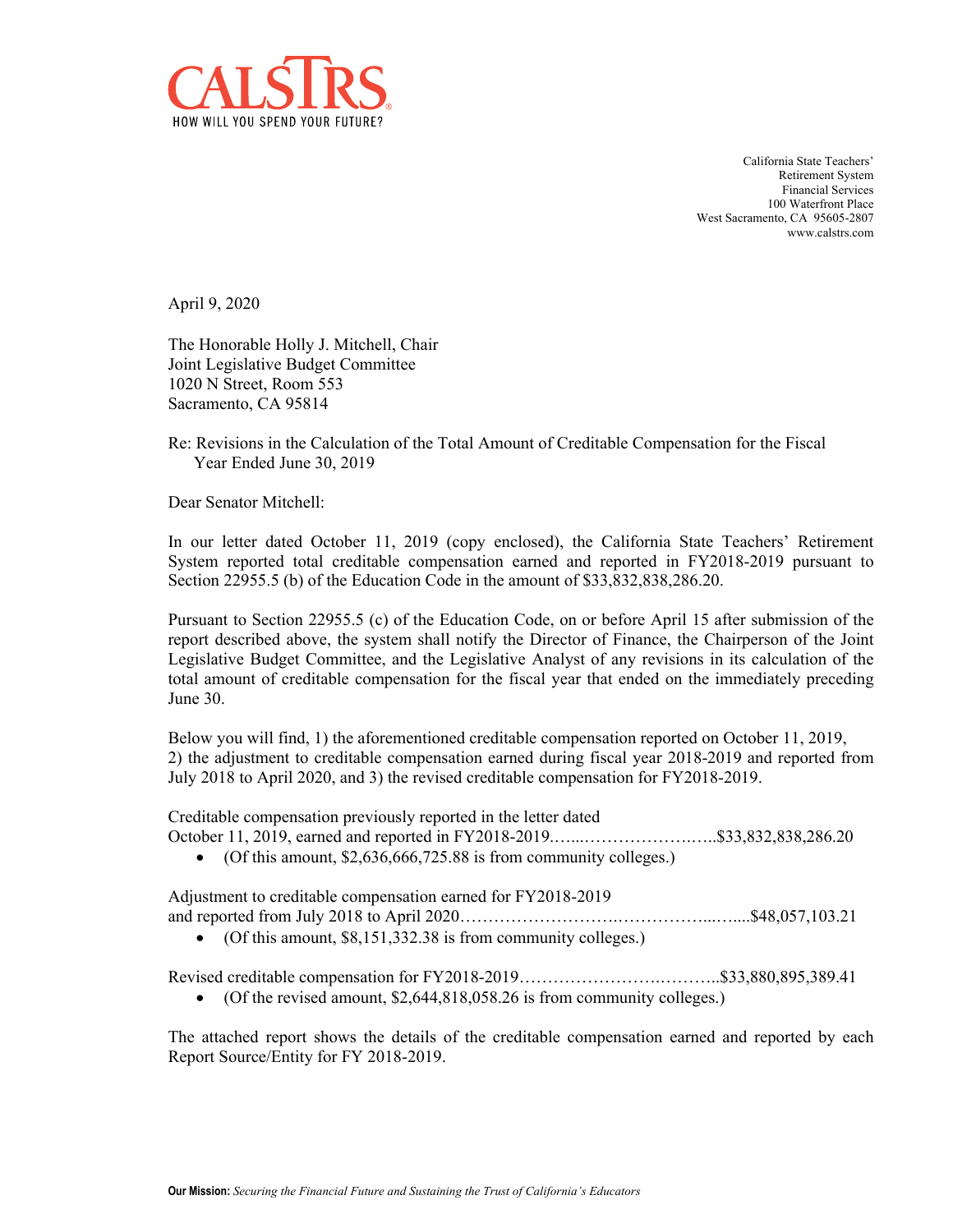

California State Teachers' Retirement System Financial Services 100 Waterfront Place West Sacramento, CA 95605-2807 <www.calstrs.com>

April 9, 2020

The Honorable Holly J. Mitchell, Chair Joint Legislative Budget Committee 1020 N Street, Room 553 Sacramento, CA 95814

Re: Revisions in the Calculation of the Total Amount of Creditable Compensation for the Fiscal Year Ended June 30, 2019

Dear Senator Mitchell:

In our letter dated October 11, 2019 (copy enclosed), the California State Teachers' Retirement System reported total creditable compensation earned and reported in FY2018-2019 pursuant to Section 22955.5 (b) of the Education Code in the amount of \$[33,832,838,286.20](https://33,832,838,286.20).

Pursuant to Section 22955.5 (c) of the Education Code, on or before April 15 after submission of the report described above, the system shall notify the Director of Finance, the Chairperson of the Joint Legislative Budget Committee, and the Legislative Analyst of any revisions in its calculation of the total amount of creditable compensation for the fiscal year that ended on the immediately preceding June 30.

Below you will find, 1) the aforementioned creditable compensation reported on October 11, 2019, 2) the adjustment to creditable compensation earned during fiscal year 2018-2019 and reported from July 2018 to April 2020, and 3) the revised creditable compensation for FY2018-2019.

Creditable compensation previously reported in the letter dated October 11, 2019, earned and reported in FY2018-2019.…...……………….…..\$33,832,838,286.20

• (Of this amount,  $$2,636,666,725.88$  is from community colleges.)

Adjustment to creditable compensation earned for FY2018-2019 and reported from July 2018 to April 2020……………………….……………...…....\$48,057,103.21

 $\bullet$  (Of this amount, \$[8,151,332.38](https://8,151,332.38) is from community colleges.)

Revised creditable compensation for FY2018-2019…………………….………..\$33,880,895,389.41

(Of the revised amount, \$[2,644,818,058.26](https://2,644,818,058.26) is from community colleges.)

The attached report shows the details of the creditable compensation earned and reported by each Report Source/Entity for FY 2018-2019.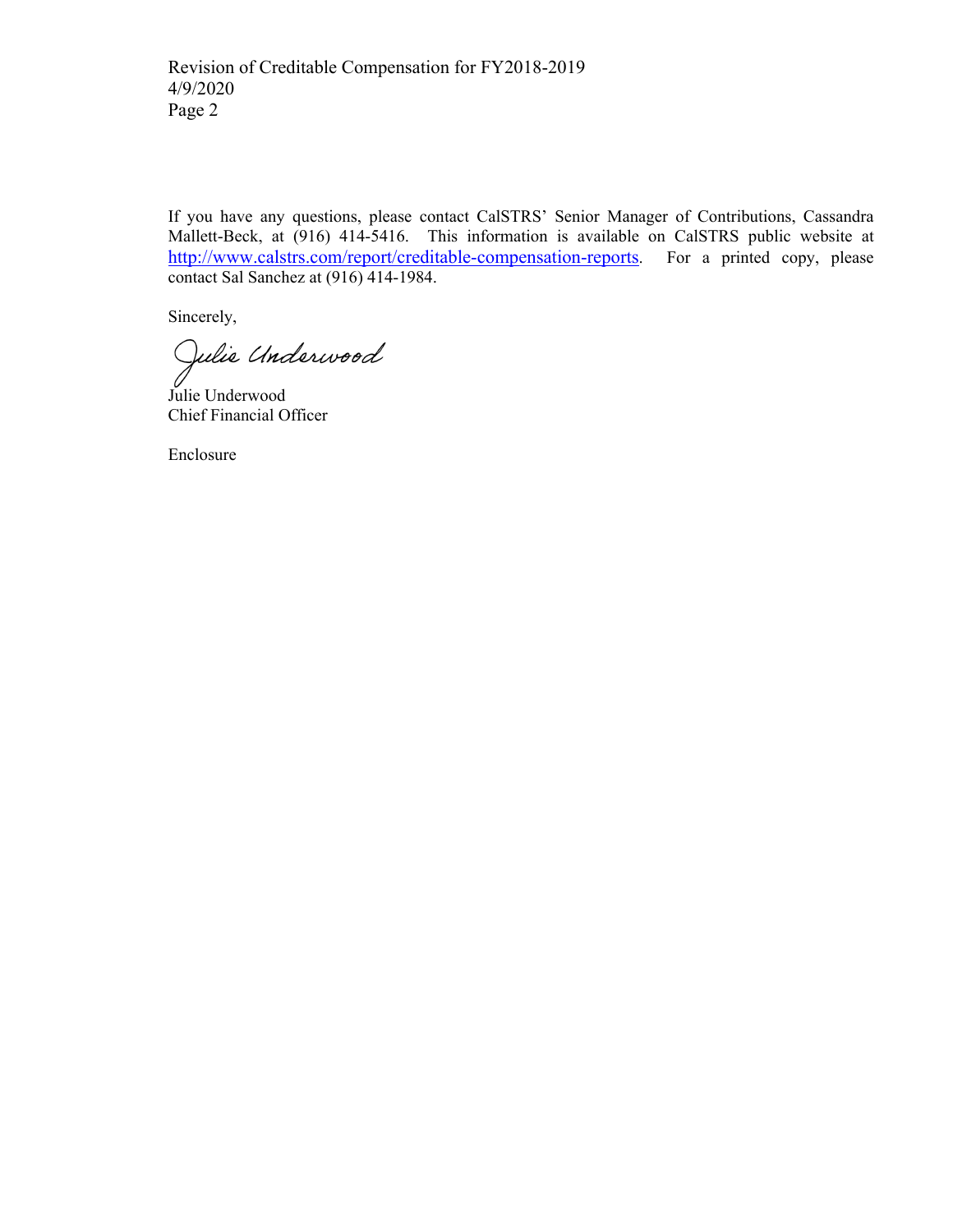If you have any questions, please contact CalSTRS' Senior Manager of Contributions, Cassandra Mallett-Beck, at (916) 414-5416. This information is available on CalSTRS public website at [http://www.calstrs.com/report/creditable-compensation-reports.](http://www.calstrs.com/report/creditable-compensation-reports) For a printed copy, please contact Sal Sanchez at (916) 414-1984.

Sincerely,<br>Julia Undarwood

Chief Financial Officer Julie Underwood

Enclosure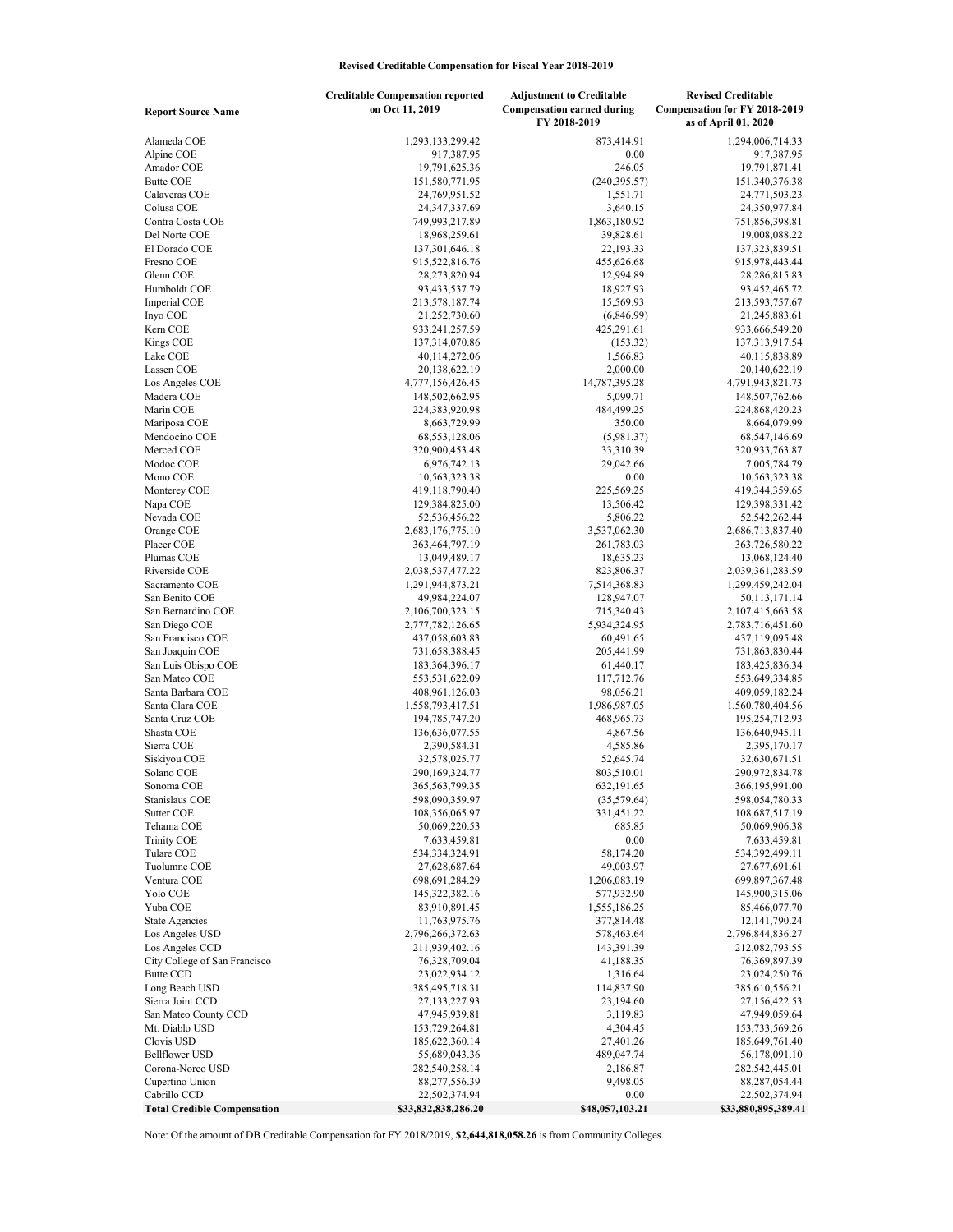## Revised Creditable Compensation for Fiscal Year 2018-2019

|                                                    | <b>Creditable Compensation reported</b> | <b>Adjustment to Creditable</b>                   | <b>Revised Creditable</b>                                    |
|----------------------------------------------------|-----------------------------------------|---------------------------------------------------|--------------------------------------------------------------|
| <b>Report Source Name</b>                          | on Oct 11, 2019                         | <b>Compensation earned during</b><br>FY 2018-2019 | <b>Compensation for FY 2018-2019</b><br>as of April 01, 2020 |
| Alameda COE                                        | 1,293,133,299.42                        | 873,414.91                                        | 1,294,006,714.33                                             |
| Alpine COE                                         | 917,387.95                              | 0.00                                              | 917,387.95                                                   |
| Amador COE                                         | 19,791,625.36                           | 246.05                                            | 19,791,871.41                                                |
| <b>Butte COE</b>                                   | 151,580,771.95                          | (240, 395.57)                                     | 151,340,376.38                                               |
| Calaveras COE                                      | 24,769,951.52                           | 1,551.71                                          | 24,771,503.23                                                |
| Colusa COE                                         | 24, 347, 337.69                         | 3,640.15                                          | 24,350,977.84                                                |
| Contra Costa COE<br>Del Norte COE                  | 749,993,217.89<br>18,968,259.61         | 1,863,180.92<br>39,828.61                         | 751,856,398.81<br>19,008,088.22                              |
| El Dorado COE                                      | 137, 301, 646. 18                       | 22,193.33                                         | 137, 323, 839. 51                                            |
| Fresno COE                                         | 915,522,816.76                          | 455,626.68                                        | 915,978,443.44                                               |
| Glenn COE                                          | 28,273,820.94                           | 12,994.89                                         | 28, 286, 815.83                                              |
| Humboldt COE                                       | 93,433,537.79                           | 18,927.93                                         | 93,452,465.72                                                |
| Imperial COE                                       | 213,578,187.74                          | 15,569.93                                         | 213,593,757.67                                               |
| Inyo COE                                           | 21,252,730.60                           | (6,846.99)                                        | 21,245,883.61                                                |
| Kern COE                                           | 933,241,257.59                          | 425,291.61                                        | 933,666,549.20                                               |
| Kings COE                                          | 137,314,070.86                          | (153.32)                                          | 137, 313, 917.54                                             |
| Lake COE                                           | 40,114,272.06                           | 1,566.83                                          | 40,115,838.89                                                |
| Lassen COE<br>Los Angeles COE                      | 20,138,622.19<br>4,777,156,426.45       | 2,000.00<br>14,787,395.28                         | 20,140,622.19<br>4,791,943,821.73                            |
| Madera COE                                         | 148,502,662.95                          | 5,099.71                                          | 148,507,762.66                                               |
| Marin COE                                          | 224,383,920.98                          | 484,499.25                                        | 224,868,420.23                                               |
| Mariposa COE                                       | 8,663,729.99                            | 350.00                                            | 8,664,079.99                                                 |
| Mendocino COE                                      | 68, 553, 128.06                         | (5,981.37)                                        | 68,547,146.69                                                |
| Merced COE                                         | 320,900,453.48                          | 33,310.39                                         | 320,933,763.87                                               |
| Modoc COE                                          | 6,976,742.13                            | 29,042.66                                         | 7,005,784.79                                                 |
| Mono COE                                           | 10,563,323.38                           | 0.00                                              | 10,563,323.38                                                |
| Monterey COE                                       | 419,118,790.40                          | 225,569.25                                        | 419,344,359.65                                               |
| Napa COE                                           | 129,384,825.00                          | 13,506.42                                         | 129,398,331.42                                               |
| Nevada COE                                         | 52,536,456.22                           | 5,806.22                                          | 52,542,262.44                                                |
| Orange COE<br>Placer COE                           | 2,683,176,775.10<br>363,464,797.19      | 3,537,062.30<br>261,783.03                        | 2,686,713,837.40<br>363,726,580.22                           |
| Plumas COE                                         | 13,049,489.17                           | 18,635.23                                         | 13,068,124.40                                                |
| Riverside COE                                      | 2,038,537,477.22                        | 823,806.37                                        | 2,039,361,283.59                                             |
| Sacramento COE                                     | 1,291,944,873.21                        | 7,514,368.83                                      | 1,299,459,242.04                                             |
| San Benito COE                                     | 49,984,224.07                           | 128,947.07                                        | 50,113,171.14                                                |
| San Bernardino COE                                 | 2,106,700,323.15                        | 715,340.43                                        | 2, 107, 415, 663. 58                                         |
| San Diego COE                                      | 2,777,782,126.65                        | 5,934,324.95                                      | 2,783,716,451.60                                             |
| San Francisco COE                                  | 437,058,603.83                          | 60,491.65                                         | 437,119,095.48                                               |
| San Joaquin COE                                    | 731,658,388.45                          | 205,441.99                                        | 731,863,830.44                                               |
| San Luis Obispo COE                                | 183, 364, 396. 17                       | 61,440.17                                         | 183,425,836.34                                               |
| San Mateo COE<br>Santa Barbara COE                 | 553,531,622.09<br>408,961,126.03        | 117,712.76<br>98,056.21                           | 553,649,334.85<br>409,059,182.24                             |
| Santa Clara COE                                    | 1,558,793,417.51                        | 1,986,987.05                                      | 1,560,780,404.56                                             |
| Santa Cruz COE                                     | 194,785,747.20                          | 468,965.73                                        | 195,254,712.93                                               |
| Shasta COE                                         | 136,636,077.55                          | 4,867.56                                          | 136,640,945.11                                               |
| Sierra COE                                         | 2,390,584.31                            | 4,585.86                                          | 2,395,170.17                                                 |
| Siskiyou COE                                       | 32,578,025.77                           | 52,645.74                                         | 32,630,671.51                                                |
| Solano COE                                         | 290,169,324.77                          | 803,510.01                                        | 290,972,834.78                                               |
| Sonoma COE                                         | 365,563,799.35                          | 632,191.65                                        | 366,195,991.00                                               |
| Stanislaus COE                                     | 598,090,359.97                          | (35,579.64)                                       | 598,054,780.33                                               |
| Sutter COE<br>Tehama COE                           | 108,356,065.97<br>50,069,220.53         | 331,451.22<br>685.85                              | 108,687,517.19<br>50,069,906.38                              |
| <b>Trinity COE</b>                                 | 7,633,459.81                            | 0.00                                              | 7,633,459.81                                                 |
| Tulare COE                                         | 534,334,324.91                          | 58,174.20                                         | 534,392,499.11                                               |
| Tuolumne COE                                       | 27,628,687.64                           | 49,003.97                                         | 27,677,691.61                                                |
| Ventura COE                                        | 698,691,284.29                          | 1,206,083.19                                      | 699,897,367.48                                               |
| Yolo COE                                           | 145,322,382.16                          | 577,932.90                                        | 145,900,315.06                                               |
| Yuba COE                                           | 83,910,891.45                           | 1,555,186.25                                      | 85,466,077.70                                                |
| <b>State Agencies</b>                              | 11,763,975.76                           | 377,814.48                                        | 12,141,790.24                                                |
| Los Angeles USD                                    | 2,796,266,372.63                        | 578,463.64                                        | 2,796,844,836.27                                             |
| Los Angeles CCD<br>City College of San Francisco   | 211,939,402.16                          | 143,391.39                                        | 212,082,793.55                                               |
| <b>Butte CCD</b>                                   | 76,328,709.04<br>23,022,934.12          | 41,188.35<br>1,316.64                             | 76, 369, 897. 39<br>23,024,250.76                            |
| Long Beach USD                                     | 385,495,718.31                          | 114,837.90                                        | 385,610,556.21                                               |
| Sierra Joint CCD                                   | 27,133,227.93                           | 23,194.60                                         | 27,156,422.53                                                |
| San Mateo County CCD                               | 47,945,939.81                           | 3,119.83                                          | 47,949,059.64                                                |
| Mt. Diablo USD                                     | 153,729,264.81                          | 4,304.45                                          | 153,733,569.26                                               |
| Clovis USD                                         | 185,622,360.14                          | 27,401.26                                         | 185,649,761.40                                               |
| <b>Bellflower USD</b>                              | 55,689,043.36                           | 489,047.74                                        | 56,178,091.10                                                |
| Corona-Norco USD                                   | 282,540,258.14                          | 2,186.87                                          | 282,542,445.01                                               |
| Cupertino Union                                    | 88,277,556.39                           | 9,498.05                                          | 88,287,054.44                                                |
| Cabrillo CCD<br><b>Total Credible Compensation</b> | 22,502,374.94<br>\$33,832,838,286.20    | 0.00<br>\$48,057,103.21                           | 22,502,374.94<br>\$33,880,895,389.41                         |

Note: Of the amount of DB Creditable Compensation for FY 2018/2019, \$[2,644,818,058.26](https://2,644,818,058.26) is from Community Colleges.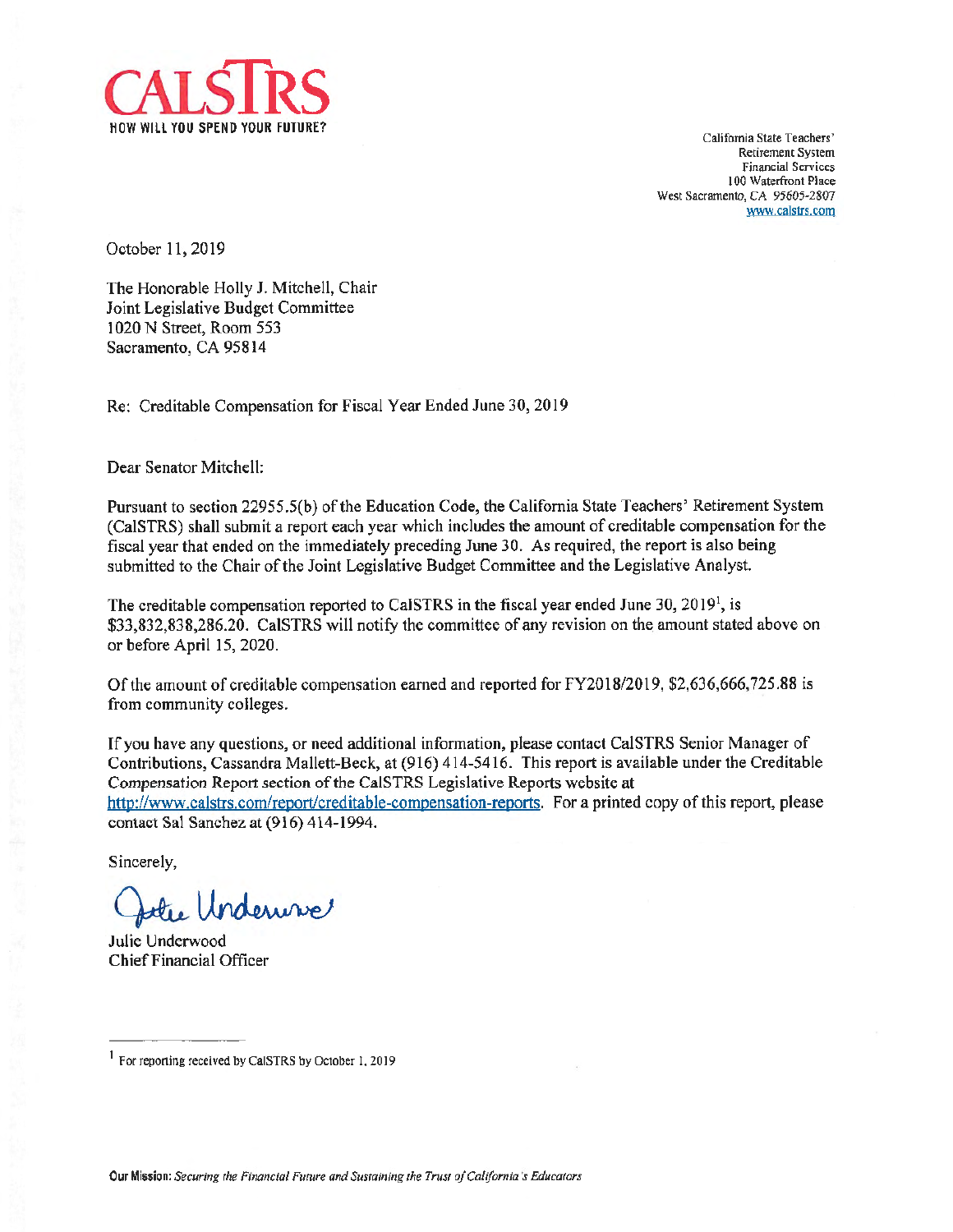

California State Teachers' Retirement System Financial Services I00 Waterfront Place West Sacramento, CA 95605-2807 <www.calstrs.com>

October 11, 2019

The Honorable Holly J. Mitchell, Chair Joint Legislative Budget Committee 1020 N Street, Room 553 Sacramento, CA 95814

Re: Creditable Compensation for Fiscal Year Ended June 30, 2019

Dear Senator Mitchell:

Pursuant to section 22955.5(b) of the Education Code, the California State Teachers' Retirement System (CalSTRS) shall submit a report each year which includes the amount of creditable compensation for the fiscal year that ended on the immediately preceding June 30. As required, the report is also being submitted to the Chair of the Joint Legislative Budget Committee and the Legislative Analyst.

The creditable compensation reported to CaISTRS in the fiscal year ended June 30, 2019<sup>1</sup>, is \$[33,832,838,286.20](https://33,832,838,286.20). CalSTRS will notify the committee of any revision on the amount stated above on or before April 15, 2020.

Of the amount of creditable compensation earned and reported for FY2018/2019, \$[2,636,666,725.88](https://2,636,666,725.88) is from community colleges.

Ifyou have any questions, or need additional infonnation, please contact CalSTRS Senior Manager of Contributions, Cassandra Mallett-Beck, at (916) 414-5416. This report is available under the Creditable Compensation Report section of the CalSTRS Legislative Reports website at <http://www.calstrs.com/report/creditable-compensation-reports>. For a printed copy of this report, please contact Sal Sanchez at (916) 414-1994.

Sincerely,

the Underwise

Julie Underwood Chief Financial Officer

<sup>1</sup> For reponing received by CalSTRS by October I, 2019